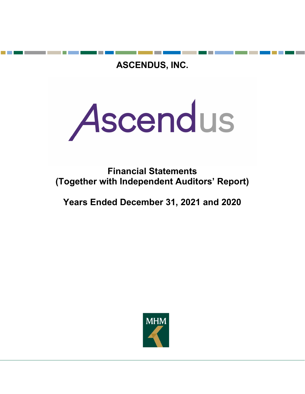ASCENDUS, INC.



Financial Statements (Together with Independent Auditors' Report)

Years Ended December 31, 2021 and 2020

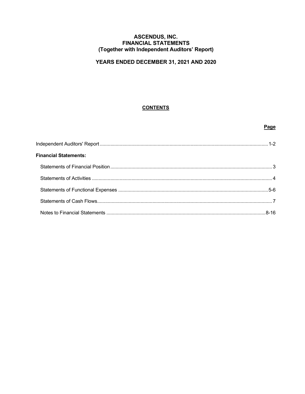## **ASCENDUS, INC. FINANCIAL STATEMENTS** (Together with Independent Auditors' Report)

# YEARS ENDED DECEMBER 31, 2021 AND 2020

# **CONTENTS**

# Page

| <b>Financial Statements:</b> |  |
|------------------------------|--|
|                              |  |
|                              |  |
|                              |  |
|                              |  |
|                              |  |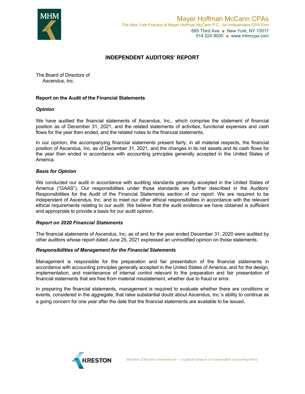

## INDEPENDENT AUDITORS' REPORT

The Board of Directors of Ascendus, Inc.

### Report on the Audit of the Financial Statements

### **Opinion**

We have audited the financial statements of Ascendus, Inc., which comprise the statement of financial position as of December 31, 2021, and the related statements of activities, functional expenses and cash flows for the year then ended, and the related notes to the financial statements.

In our opinion, the accompanying financial statements present fairly, in all material respects, the financial position of Ascendus, Inc. as of December 31, 2021, and the changes in its net assets and its cash flows for the year then ended in accordance with accounting principles generally accepted in the United States of America.

### Basis for Opinion

We conducted our audit in accordance with auditing standards generally accepted in the United States of America ("GAAS"). Our responsibilities under those standards are further described in the Auditors' Responsibilities for the Audit of the Financial Statements section of our report. We are required to be independent of Ascendus, Inc. and to meet our other ethical responsibilities in accordance with the relevant ethical requirements relating to our audit. We believe that the audit evidence we have obtained is sufficient and appropriate to provide a basis for our audit opinion.

#### Report on 2020 Financial Statements

The financial statements of Ascendus, Inc. as of and for the year ended December 31, 2020 were audited by other auditors whose report dated June 25, 2021 expressed an unmodified opinion on those statements.

#### Responsibilities of Management for the Financial Statements

Management is responsible for the preparation and fair presentation of the financial statements in accordance with accounting principles generally accepted in the United States of America, and for the design, implementation, and maintenance of internal control relevant to the preparation and fair presentation of financial statements that are free from material misstatement, whether due to fraud or error.

In preparing the financial statements, management is required to evaluate whether there are conditions or events, considered in the aggregate, that raise substantial doubt about Ascendus, Inc.'s ability to continue as a going concern for one year after the date that the financial statements are available to be issued.

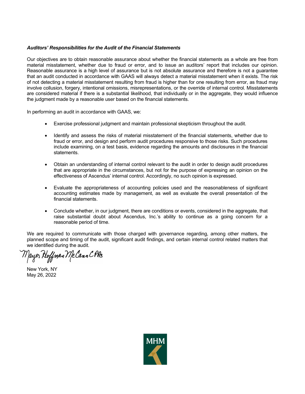### Auditors' Responsibilities for the Audit of the Financial Statements

Our objectives are to obtain reasonable assurance about whether the financial statements as a whole are free from material misstatement, whether due to fraud or error, and to issue an auditors' report that includes our opinion. Reasonable assurance is a high level of assurance but is not absolute assurance and therefore is not a guarantee that an audit conducted in accordance with GAAS will always detect a material misstatement when it exists. The risk of not detecting a material misstatement resulting from fraud is higher than for one resulting from error, as fraud may involve collusion, forgery, intentional omissions, misrepresentations, or the override of internal control. Misstatements are considered material if there is a substantial likelihood, that individually or in the aggregate, they would influence the judgment made by a reasonable user based on the financial statements.

In performing an audit in accordance with GAAS, we:

- Exercise professional judgment and maintain professional skepticism throughout the audit.
- Identify and assess the risks of material misstatement of the financial statements, whether due to fraud or error, and design and perform audit procedures responsive to those risks. Such procedures include examining, on a test basis, evidence regarding the amounts and disclosures in the financial statements.
- Obtain an understanding of internal control relevant to the audit in order to design audit procedures that are appropriate in the circumstances, but not for the purpose of expressing an opinion on the effectiveness of Ascendus' internal control. Accordingly, no such opinion is expressed.
- Evaluate the appropriateness of accounting policies used and the reasonableness of significant accounting estimates made by management, as well as evaluate the overall presentation of the financial statements.
- Conclude whether, in our judgment, there are conditions or events, considered in the aggregate, that raise substantial doubt about Ascendus, Inc.'s ability to continue as a going concern for a reasonable period of time.

We are required to communicate with those charged with governance regarding, among other matters, the planned scope and timing of the audit, significant audit findings, and certain internal control related matters that we identified during the audit.

Mayer Hoffman McCann CPAs

New York, NY May 26, 2022

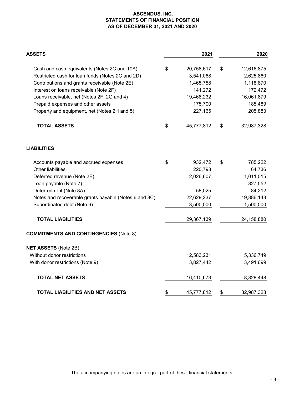## **ASCENDUS, INC. STATEMENTS OF FINANCIAL POSITION AS OF DECEMBER 31, 2021 AND 2020**

| <b>ASSETS</b>                                         | 2021             | 2020             |
|-------------------------------------------------------|------------------|------------------|
| Cash and cash equivalents (Notes 2C and 10A)          | \$<br>20,758,617 | \$<br>12,616,875 |
| Restricted cash for loan funds (Notes 2C and 2D)      | 3,541,068        | 2,625,860        |
| Contributions and grants receivable (Note 2E)         | 1,465,758        | 1,118,870        |
| Interest on loans receivable (Note 2F)                | 141,272          | 172,472          |
| Loans receivable, net (Notes 2F, 2G and 4)            | 19,468,232       | 16,061,879       |
| Prepaid expenses and other assets                     | 175,700          | 185,489          |
| Property and equipment, net (Notes 2H and 5)          | 227,165          | 205,883          |
| <b>TOTAL ASSETS</b>                                   | \$<br>45,777,812 | \$<br>32,987,328 |
| <b>LIABILITIES</b>                                    |                  |                  |
| Accounts payable and accrued expenses                 | \$<br>932,472    | \$<br>785,222    |
| <b>Other liabilities</b>                              | 220,798          | 64,736           |
| Deferred revenue (Note 2E)                            | 2,026,607        | 1,011,015        |
| Loan payable (Note 7)                                 |                  | 827,552          |
| Deferred rent (Note 8A)                               | 58,025           | 84,212           |
| Notes and recoverable grants payable (Notes 6 and 8C) | 22,629,237       | 19,886,143       |
| Subordinated debt (Note 6)                            | 3,500,000        | 1,500,000        |
| <b>TOTAL LIABILITIES</b>                              | 29,367,139       | 24,158,880       |
| <b>COMMITMENTS AND CONTINGENCIES (Note 8)</b>         |                  |                  |
| <b>NET ASSETS (Note 2B)</b>                           |                  |                  |
| Without donor restrictions                            | 12,583,231       | 5,336,749        |
| With donor restrictions (Note 9)                      | 3,827,442        | 3,491,699        |
| <b>TOTAL NET ASSETS</b>                               | 16,410,673       | 8,828,448        |
| <b>TOTAL LIABILITIES AND NET ASSETS</b>               | \$<br>45,777,812 | \$<br>32,987,328 |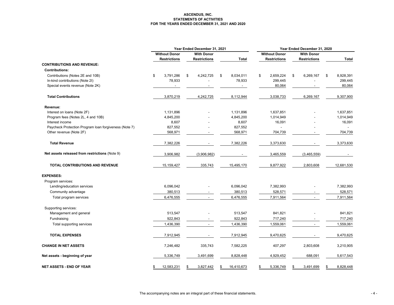#### **ASCENDUS, INC. STATEMENTS OF ACTIVITIES FOR THE YEARS ENDED DECEMBER 31, 2021 AND 2020**

|                                                       | Year Ended December 31, 2021 |                      |    |                     |    |            | Year Ended December 31, 2020 |                      |    |                          |    |            |
|-------------------------------------------------------|------------------------------|----------------------|----|---------------------|----|------------|------------------------------|----------------------|----|--------------------------|----|------------|
|                                                       |                              | <b>Without Donor</b> |    | <b>With Donor</b>   |    |            |                              | <b>Without Donor</b> |    | <b>With Donor</b>        |    |            |
|                                                       |                              | <b>Restrictions</b>  |    | <b>Restrictions</b> |    | Total      |                              | <b>Restrictions</b>  |    | Restrictions             |    | Total      |
| <b>CONTRIBUTIONS AND REVENUE:</b>                     |                              |                      |    |                     |    |            |                              |                      |    |                          |    |            |
| <b>Contributions:</b>                                 |                              |                      |    |                     |    |            |                              |                      |    |                          |    |            |
| Contributions (Notes 2E and 10B)                      | \$                           | 3,791,286            | \$ | 4,242,725           | \$ | 8,034,011  | \$                           | 2,659,224            | \$ | 6,269,167                | \$ | 8,928,391  |
| In-kind contributions (Note 2I)                       |                              | 78,933               |    |                     |    | 78,933     |                              | 299,445              |    |                          |    | 299,445    |
| Special events revenue (Note 2K)                      |                              |                      |    |                     |    |            |                              | 80,064               |    |                          |    | 80,064     |
| <b>Total Contributions</b>                            |                              | 3,870,219            |    | 4,242,725           |    | 8,112,944  |                              | 3,038,733            |    | 6,269,167                |    | 9,307,900  |
| Revenue:                                              |                              |                      |    |                     |    |            |                              |                      |    |                          |    |            |
| Interest on loans (Note 2F)                           |                              | 1,131,896            |    |                     |    | 1,131,896  |                              | 1,637,851            |    |                          |    | 1,637,851  |
| Program fees (Notes 2L, 4 and 10B)                    |                              | 4,845,200            |    |                     |    | 4,845,200  |                              | 1,014,949            |    |                          |    | 1,014,949  |
| Interest income                                       |                              | 8,607                |    |                     |    | 8,607      |                              | 16,091               |    |                          |    | 16,091     |
| Paycheck Protection Program loan forgiveness (Note 7) |                              | 827,552              |    |                     |    | 827,552    |                              |                      |    |                          |    |            |
| Other revenue (Note 2F)                               |                              | 568,971              |    |                     |    | 568,971    |                              | 704,739              |    |                          |    | 704,739    |
| <b>Total Revenue</b>                                  |                              | 7,382,226            |    |                     |    | 7,382,226  |                              | 3,373,630            |    |                          |    | 3,373,630  |
| Net assets released from restrictions (Note 9)        |                              | 3,906,982            |    | (3,906,982)         |    |            |                              | 3,465,559            |    | (3,465,559)              |    |            |
| TOTAL CONTRIBUTIONS AND REVENUE                       |                              | 15,159,427           |    | 335,743             |    | 15,495,170 |                              | 9,877,922            |    | 2,803,608                |    | 12,681,530 |
| <b>EXPENSES:</b>                                      |                              |                      |    |                     |    |            |                              |                      |    |                          |    |            |
| Program services:                                     |                              |                      |    |                     |    |            |                              |                      |    |                          |    |            |
| Lending/education services                            |                              | 6,096,042            |    |                     |    | 6,096,042  |                              | 7,382,993            |    |                          |    | 7,382,993  |
| Community advantage                                   |                              | 380,513              |    |                     |    | 380,513    |                              | 528,571              |    |                          |    | 528,571    |
| Total program services                                |                              | 6,476,555            |    | $\blacksquare$      |    | 6,476,555  |                              | 7,911,564            |    | $\blacksquare$           |    | 7,911,564  |
| Supporting services:                                  |                              |                      |    |                     |    |            |                              |                      |    |                          |    |            |
| Management and general                                |                              | 513,547              |    |                     |    | 513,547    |                              | 841,821              |    |                          |    | 841,821    |
| Fundraising                                           |                              | 922,843              |    |                     |    | 922,843    |                              | 717,240              |    |                          |    | 717,240    |
| Total supporting services                             |                              | 1,436,390            |    | $\blacksquare$      |    | 1,436,390  |                              | 1,559,061            |    | $\overline{\phantom{a}}$ |    | 1,559,061  |
| <b>TOTAL EXPENSES</b>                                 |                              | 7,912,945            |    |                     |    | 7,912,945  |                              | 9,470,625            |    |                          |    | 9,470,625  |
| <b>CHANGE IN NET ASSETS</b>                           |                              | 7,246,482            |    | 335,743             |    | 7,582,225  |                              | 407,297              |    | 2,803,608                |    | 3,210,905  |
| Net assets - beginning of year                        |                              | 5,336,749            |    | 3,491,699           |    | 8,828,448  |                              | 4,929,452            |    | 688,091                  |    | 5,617,543  |
| NET ASSETS - END OF YEAR                              | \$                           | 12,583,231           |    | 3,827,442           | S  | 16,410,673 | \$                           | 5,336,749            | S  | 3,491,699                | \$ | 8,828,448  |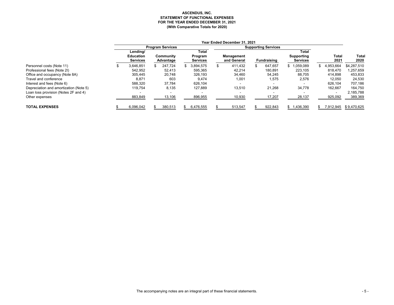#### **ASCENDUS, INC. STATEMENT OF FUNCTIONAL EXPENSES FOR THE YEAR ENDED DECEMBER 31, 2021 (With Comparative Totals for 2020)**

|                                        | Year Ended December 31, 2021        |  |                         |  |                            |  |                                  |  |                            |       |                               |  |                          |               |
|----------------------------------------|-------------------------------------|--|-------------------------|--|----------------------------|--|----------------------------------|--|----------------------------|-------|-------------------------------|--|--------------------------|---------------|
|                                        |                                     |  | <b>Program Services</b> |  |                            |  |                                  |  | <b>Supporting Services</b> |       |                               |  |                          |               |
|                                        | Lending/                            |  |                         |  | Total                      |  |                                  |  |                            | Total |                               |  |                          |               |
|                                        | <b>Education</b><br><b>Services</b> |  | Community<br>Advantage  |  | Program<br><b>Services</b> |  | <b>Management</b><br>and General |  | <b>Fundraising</b>         |       | Supporting<br><b>Services</b> |  | Total<br>2021            | Total<br>2020 |
| Personnel costs (Note 11)              | 3.646.851                           |  | 247.724                 |  | 3.894.575                  |  | 411.432                          |  | 647.657                    |       | \$1.059.089                   |  | 1.953.664                | \$4.287.510   |
| Professional fees (Note 2I)            | 542,952                             |  | 52,413                  |  | 595,365                    |  | 42,214                           |  | 180,891                    |       | 223,105                       |  | 818,470                  | 1,257,659     |
| Office and occupancy (Note 8A)         | 305.445                             |  | 20.748                  |  | 326.193                    |  | 34,460                           |  | 54.245                     |       | 88,705                        |  | 414.898                  | 453,833       |
| Travel and conference                  | 8,871                               |  | 603                     |  | 9,474                      |  | 1,001                            |  | 1,575                      |       | 2,576                         |  | 12,050                   | 24,530        |
| Interest and fees (Note 6)             | 588.320                             |  | 37.784                  |  | 626.104                    |  |                                  |  |                            |       |                               |  | 626.104                  | 707,186       |
| Depreciation and amortization (Note 5) | 119,754                             |  | 8,135                   |  | 127,889                    |  | 13,510                           |  | 21,268                     |       | 34,778                        |  | 162,667                  | 164,750       |
| Loan loss provision (Notes 2F and 4)   |                                     |  |                         |  |                            |  |                                  |  |                            |       |                               |  | $\overline{\phantom{a}}$ | 2,185,788     |
| Other expenses                         | 883,849                             |  | 13,106                  |  | 896,955                    |  | 10,930                           |  | 17,207                     |       | 28,137                        |  | 925,092                  | 389,369       |
| <b>TOTAL EXPENSES</b>                  | 6,096,042                           |  | 380,513                 |  | 6.476.555                  |  | 513,547                          |  | 922,843                    |       | \$1,436,390                   |  | 7.912.945                | \$9.470.625   |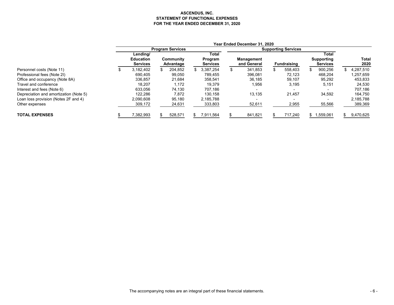#### **ASCENDUS, INC. STATEMENT OF FUNCTIONAL EXPENSES FOR THE YEAR ENDED DECEMBER 31, 2020**

|                                        |                                     |                         |                            | Year Ended December 31, 2020 |                            |                               |    |               |
|----------------------------------------|-------------------------------------|-------------------------|----------------------------|------------------------------|----------------------------|-------------------------------|----|---------------|
|                                        |                                     | <b>Program Services</b> |                            |                              | <b>Supporting Services</b> |                               |    |               |
|                                        | Lending/                            |                         | Total                      |                              |                            | Total                         |    |               |
|                                        | <b>Education</b><br><b>Services</b> | Community<br>Advantage  | Program<br><b>Services</b> | Management<br>and General    | <b>Fundraising</b>         | Supporting<br><b>Services</b> |    | Total<br>2020 |
| Personnel costs (Note 11)              | 3.182.402                           | \$<br>204.852           | 3.387.254                  | 341.853                      | 558.403                    | 900.256                       |    | 4.287.510     |
| Professional fees (Note 2I)            | 690.405                             | 99,050                  | 789,455                    | 396,081                      | 72,123                     | 468,204                       |    | 1,257,659     |
| Office and occupancy (Note 8A)         | 336.857                             | 21.684                  | 358,541                    | 36,185                       | 59.107                     | 95,292                        |    | 453.833       |
| Travel and conference                  | 18.207                              | 1.172                   | 19,379                     | 1,956                        | 3,195                      | 5,151                         |    | 24,530        |
| Interest and fees (Note 6)             | 633.056                             | 74,130                  | 707.186                    |                              | $\overline{\phantom{0}}$   |                               |    | 707.186       |
| Depreciation and amortization (Note 5) | 122.286                             | 7.872                   | 130.158                    | 13.135                       | 21.457                     | 34,592                        |    | 164,750       |
| Loan loss provision (Notes 2F and 4)   | 2.090.608                           | 95.180                  | 2.185.788                  |                              |                            |                               |    | 2,185,788     |
| Other expenses                         | 309,172                             | 24,631                  | 333,803                    | 52,611                       | 2,955                      | 55,566                        |    | 389,369       |
| <b>TOTAL EXPENSES</b>                  | 7,382,993                           | 528,571                 | \$<br>7,911,564            | 841,821                      | 717,240                    | \$1.559.061                   | Ж. | 9,470,625     |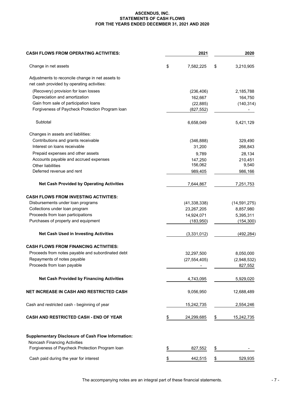#### **ASCENDUS, INC. STATEMENTS OF CASH FLOWS FOR THE YEARS ENDED DECEMBER 31, 2021 AND 2020**

| <b>CASH FLOWS FROM OPERATING ACTIVITIES:</b>                                    |           | 2021           | 2020             |
|---------------------------------------------------------------------------------|-----------|----------------|------------------|
| Change in net assets                                                            | \$        | 7,582,225      | \$<br>3,210,905  |
| Adjustments to reconcile change in net assets to                                |           |                |                  |
| net cash provided by operating activities:                                      |           |                |                  |
| (Recovery) provision for loan losses                                            |           | (236, 406)     | 2,185,788        |
| Depreciation and amortization                                                   |           | 162,667        | 164,750          |
| Gain from sale of participation loans                                           |           | (22, 885)      | (140, 314)       |
| Forgiveness of Paycheck Protection Program Ioan                                 |           | (827, 552)     |                  |
| Subtotal                                                                        |           | 6,658,049      | 5,421,129        |
| Changes in assets and liabilities:                                              |           |                |                  |
| Contributions and grants receivable                                             |           | (346, 888)     | 329,490          |
| Interest on loans receivable                                                    |           | 31,200         | 266,843          |
| Prepaid expenses and other assets                                               |           | 9,789          | 28,134           |
| Accounts payable and accrued expenses                                           |           | 147,250        | 210,451          |
| <b>Other liabilities</b>                                                        |           | 156,062        | 9,540            |
| Deferred revenue and rent                                                       |           | 989,405        | 986,166          |
| <b>Net Cash Provided by Operating Activities</b>                                |           | 7,644,867      | 7,251,753        |
| <b>CASH FLOWS FROM INVESTING ACTIVITIES:</b>                                    |           |                |                  |
| Disbursements under loan programs                                               |           | (41, 338, 338) | (14, 591, 275)   |
| Collections under loan program                                                  |           | 23,267,205     | 8,857,980        |
| Proceeds from loan participations                                               |           | 14,924,071     | 5,395,311        |
| Purchases of property and equipment                                             |           | (183, 950)     | (154, 300)       |
| Net Cash Used in Investing Activities                                           |           | (3,331,012)    | (492, 284)       |
| <b>CASH FLOWS FROM FINANCING ACTIVITIES:</b>                                    |           |                |                  |
| Proceeds from notes payable and subordinated debt                               |           | 32,297,500     | 8,050,000        |
| Repayments of notes payable                                                     |           | (27, 554, 405) | (2,948,532)      |
| Proceeds from loan payable                                                      |           |                | 827,552          |
| <b>Net Cash Provided by Financing Activities</b>                                |           | 4,743,095      | 5,929,020        |
| NET INCREASE IN CASH AND RESTRICTED CASH                                        |           | 9,056,950      | 12,688,489       |
| Cash and restricted cash - beginning of year                                    |           | 15,242,735     | 2,554,246        |
| <b>CASH AND RESTRICTED CASH - END OF YEAR</b>                                   | \$        | 24,299,685     | \$<br>15,242,735 |
| <b>Supplementary Disclosure of Cash Flow Information:</b>                       |           |                |                  |
| Noncash Financing Activities<br>Forgiveness of Paycheck Protection Program loan | <u>\$</u> | 827,552        | \$               |
| Cash paid during the year for interest                                          | \$        | 442,515        | \$<br>529,935    |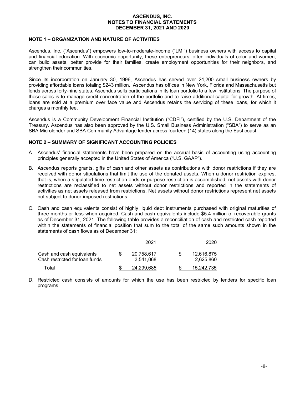#### NOTE 1 – ORGANIZATION AND NATURE OF ACTIVITIES

Ascendus, Inc. ("Ascendus") empowers low-to-moderate-income ("LMI") business owners with access to capital and financial education. With economic opportunity, these entrepreneurs, often individuals of color and women, can build assets, better provide for their families, create employment opportunities for their neighbors, and strengthen their communities.

Since its incorporation on January 30, 1996, Ascendus has served over 24,200 small business owners by providing affordable loans totaling \$243 million. Ascendus has offices in New York, Florida and Massachusetts but lends across forty-nine states. Ascendus sells participations in its loan portfolio to a few institutions. The purpose of these sales is to manage credit concentration of the portfolio and to raise additional capital for growth. At times, loans are sold at a premium over face value and Ascendus retains the servicing of these loans, for which it charges a monthly fee.

Ascendus is a Community Development Financial Institution ("CDFI"), certified by the U.S. Department of the Treasury. Ascendus has also been approved by the U.S. Small Business Administration ("SBA") to serve as an SBA Microlender and SBA Community Advantage lender across fourteen (14) states along the East coast.

#### NOTE 2 – SUMMARY OF SIGNIFICANT ACCOUNTING POLICIES

- A. Ascendus' financial statements have been prepared on the accrual basis of accounting using accounting principles generally accepted in the United States of America ("U.S. GAAP").
- B. Ascendus reports grants, gifts of cash and other assets as contributions with donor restrictions if they are received with donor stipulations that limit the use of the donated assets. When a donor restriction expires, that is, when a stipulated time restriction ends or purpose restriction is accomplished, net assets with donor restrictions are reclassified to net assets without donor restrictions and reported in the statements of activities as net assets released from restrictions. Net assets without donor restrictions represent net assets not subject to donor-imposed restrictions.
- C. Cash and cash equivalents consist of highly liquid debt instruments purchased with original maturities of three months or less when acquired. Cash and cash equivalents include \$5.4 million of recoverable grants as of December 31, 2021. The following table provides a reconciliation of cash and restricted cash reported within the statements of financial position that sum to the total of the same such amounts shown in the statements of cash flows as of December 31:

|                                                             | 2021                    | 2020                    |
|-------------------------------------------------------------|-------------------------|-------------------------|
| Cash and cash equivalents<br>Cash restricted for loan funds | 20,758,617<br>3.541.068 | 12,616,875<br>2,625,860 |
| Total                                                       | 24.299.685              | 15.242.735              |

D. Restricted cash consists of amounts for which the use has been restricted by lenders for specific loan programs.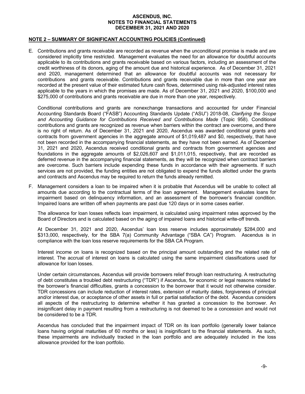#### NOTE 2 – SUMMARY OF SIGNIFICANT ACCOUNTING POLICIES (Continued)

E. Contributions and grants receivable are recorded as revenue when the unconditional promise is made and are considered implicitly time restricted. Management evaluates the need for an allowance for doubtful accounts applicable to its contributions and grants receivable based on various factors, including an assessment of the credit worthiness of its donors, aging of the amount due and historical experience. As of December 31, 2021 and 2020, management determined that an allowance for doubtful accounts was not necessary for contributions and grants receivable. Contributions and grants receivable due in more than one year are recorded at the present value of their estimated future cash flows, determined using risk-adjusted interest rates applicable to the years in which the promises are made. As of December 31, 2021 and 2020, \$100,000 and \$275,000 of contributions and grants receivable are due in more than one year, respectively.

Conditional contributions and grants are nonexchange transactions and accounted for under Financial Accounting Standards Board ("FASB") Accounting Standards Update ("ASU") 2018-08, Clarifying the Scope and Accounting Guidance for Contributions Received and Contributions Made (Topic 958). Conditional contributions and grants are recognized as revenue when barriers within the contract are overcome, and there is no right of return. As of December 31, 2021 and 2020, Ascendus was awarded conditional grants and contracts from government agencies in the aggregate amount of \$1,019,487 and \$0, respectively, that have not been recorded in the accompanying financial statements, as they have not been earned. As of December 31, 2021 and 2020, Ascendus received conditional grants and contracts from government agencies and foundations in the aggregate amounts of \$2,026,607 and \$1,011,015, respectively, that are recorded as deferred revenue in the accompanying financial statements, as they will be recognized when contract barriers are overcome. Such barriers include expending these funds in accordance with their agreements. If such services are not provided, the funding entities are not obligated to expend the funds allotted under the grants and contracts and Ascendus may be required to return the funds already remitted.

F. Management considers a loan to be impaired when it is probable that Ascendus will be unable to collect all amounts due according to the contractual terms of the loan agreement. Management evaluates loans for impairment based on delinquency information, and an assessment of the borrower's financial condition. Impaired loans are written off when payments are past due 120 days or in some cases earlier.

The allowance for loan losses reflects loan impairment, is calculated using impairment rates approved by the Board of Directors and is calculated based on the aging of impaired loans and historical write-off trends.

At December 31, 2021 and 2020, Ascendus' loan loss reserve includes approximately \$284,000 and \$313,000, respectively, for the SBA 7(a) Community Advantage ("SBA CA") Program. Ascendus is in compliance with the loan loss reserve requirements for the SBA CA Program.

Interest income on loans is recognized based on the principal amount outstanding and the related rate of interest. The accrual of interest on loans is calculated using the same impairment classifications used for allowance for loan losses.

Under certain circumstances, Ascendus will provide borrowers relief through loan restructuring. A restructuring of debt constitutes a troubled debt restructuring ("TDR") if Ascendus, for economic or legal reasons related to the borrower's financial difficulties, grants a concession to the borrower that it would not otherwise consider. TDR concessions can include reduction of interest rates, extension of maturity dates, forgiveness of principal and/or interest due, or acceptance of other assets in full or partial satisfaction of the debt. Ascendus considers all aspects of the restructuring to determine whether it has granted a concession to the borrower. An insignificant delay in payment resulting from a restructuring is not deemed to be a concession and would not be considered to be a TDR.

Ascendus has concluded that the impairment impact of TDR on its loan portfolio (generally lower balance loans having original maturities of 60 months or less) is insignificant to the financial statements. As such, these impairments are individually tracked in the loan portfolio and are adequately included in the loss allowance provided for the loan portfolio.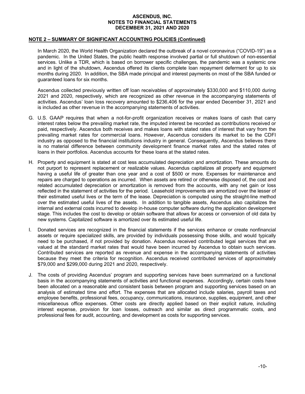#### NOTE 2 – SUMMARY OF SIGNIFICANT ACCOUNTING POLICIES (Continued)

In March 2020, the World Health Organization declared the outbreak of a novel coronavirus ("COVID-19") as a pandemic. In the United States, the public health response involved partial or full shutdown of non-essential services. Unlike a TDR, which is based on borrower specific challenges, the pandemic was a systemic one and in light of the shutdown, Ascendus offered its clients complete loan repayment deferment for up to six months during 2020. In addition, the SBA made principal and interest payments on most of the SBA funded or guaranteed loans for six months.

Ascendus collected previously written off loan receivables of approximately \$330,000 and \$110,000 during 2021 and 2020, respectively, which are recognized as other revenue in the accompanying statements of activities. Ascendus' loan loss recovery amounted to \$236,406 for the year ended December 31, 2021 and is included as other revenue in the accompanying statements of activities.

- G. U.S. GAAP requires that when a not-for-profit organization receives or makes loans of cash that carry interest rates below the prevailing market rate, the imputed interest be recorded as contributions received or paid, respectively. Ascendus both receives and makes loans with stated rates of interest that vary from the prevailing market rates for commercial loans. However, Ascendus considers its market to be the CDFI industry as opposed to the financial institutions industry in general. Consequently, Ascendus believes there is no material difference between community development finance market rates and the stated rates of loans in their portfolios. Ascendus accounts for these loans at the stated rates.
- H. Property and equipment is stated at cost less accumulated depreciation and amortization. These amounts do not purport to represent replacement or realizable values. Ascendus capitalizes all property and equipment having a useful life of greater than one year and a cost of \$500 or more. Expenses for maintenance and repairs are charged to operations as incurred. When assets are retired or otherwise disposed of, the cost and related accumulated depreciation or amortization is removed from the accounts, with any net gain or loss reflected in the statement of activities for the period. Leasehold improvements are amortized over the lesser of their estimated useful lives or the term of the lease. Depreciation is computed using the straight-line method over the estimated useful lives of the assets. In addition to tangible assets, Ascendus also capitalizes the internal and external costs incurred to develop in-house computer software during the application development stage. This includes the cost to develop or obtain software that allows for access or conversion of old data by new systems. Capitalized software is amortized over its estimated useful life.
- I. Donated services are recognized in the financial statements if the services enhance or create nonfinancial assets or require specialized skills, are provided by individuals possessing those skills, and would typically need to be purchased, if not provided by donation. Ascendus received contributed legal services that are valued at the standard market rates that would have been incurred by Ascendus to obtain such services. Contributed services are reported as revenue and expense in the accompanying statements of activities because they meet the criteria for recognition. Ascendus received contributed services of approximately \$79,000 and \$299,000 during 2021 and 2020, respectively.
- J. The costs of providing Ascendus' program and supporting services have been summarized on a functional basis in the accompanying statements of activities and functional expenses. Accordingly, certain costs have been allocated on a reasonable and consistent basis between program and supporting services based on an analysis of estimated time and effort. The expenses that are allocated include salaries, payroll taxes and employee benefits, professional fees, occupancy, communications, insurance, supplies, equipment, and other miscellaneous office expenses. Other costs are directly applied based on their explicit nature, including interest expense, provision for loan losses, outreach and similar as direct programmatic costs, and professional fees for audit, accounting, and development as costs for supporting services.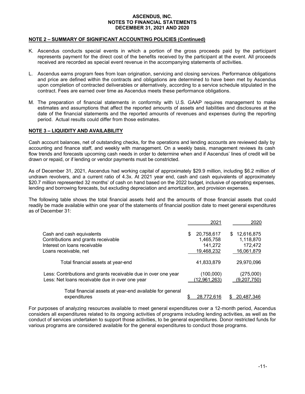#### NOTE 2 – SUMMARY OF SIGNIFICANT ACCOUNTING POLICIES (Continued)

- K. Ascendus conducts special events in which a portion of the gross proceeds paid by the participant represents payment for the direct cost of the benefits received by the participant at the event. All proceeds received are recorded as special event revenue in the accompanying statements of activities.
- L. Ascendus earns program fees from loan origination, servicing and closing services. Performance obligations and price are defined within the contracts and obligations are determined to have been met by Ascendus upon completion of contracted deliverables or alternatively, according to a service schedule stipulated in the contract. Fees are earned over time as Ascendus meets these performance obligations.
- M. The preparation of financial statements in conformity with U.S. GAAP requires management to make estimates and assumptions that affect the reported amounts of assets and liabilities and disclosures at the date of the financial statements and the reported amounts of revenues and expenses during the reporting period. Actual results could differ from those estimates.

## NOTE 3 – LIQUIDITY AND AVAILABILITY

Cash account balances, net of outstanding checks, for the operations and lending accounts are reviewed daily by accounting and finance staff, and weekly with management. On a weekly basis, management reviews its cash flow trends and forecasts upcoming cash needs in order to determine when and if Ascendus' lines of credit will be drawn or repaid, or if lending or vendor payments must be constricted.

As of December 31, 2021, Ascendus had working capital of approximately \$29.9 million, including \$6.2 million of undrawn revolvers, and a current ratio of 4.3x. At 2021 year end, cash and cash equivalents of approximately \$20.7 million represented 32 months' of cash on hand based on the 2022 budget, inclusive of operating expenses, lending and borrowing forecasts, but excluding depreciation and amortization, and provision expenses.

The following table shows the total financial assets held and the amounts of those financial assets that could readily be made available within one year of the statements of financial position date to meet general expenditures as of December 31:

|                                                                                                                   |     | 2021                        |     | 2020                     |
|-------------------------------------------------------------------------------------------------------------------|-----|-----------------------------|-----|--------------------------|
| Cash and cash equivalents                                                                                         | \$. | 20,758,617                  | \$. | 12,616,875               |
| Contributions and grants receivable                                                                               |     | 1,465,758                   |     | 1,118,870                |
| Interest on loans receivable                                                                                      |     | 141,272                     |     | 172,472                  |
| Loans receivable, net                                                                                             |     | 19,468,232                  |     | 16,061,879               |
| Total financial assets at year-end                                                                                |     | 41,833,879                  |     | 29,970,096               |
| Less: Contributions and grants receivable due in over one year<br>Less: Net loans receivable due in over one year |     | (100,000)<br>(12, 961, 263) |     | (275,000)<br>(9,207,750) |
| Total financial assets at year-end available for general<br>expenditures                                          | \$  | 28,772,616                  |     | 20,487,346               |

For purposes of analyzing resources available to meet general expenditures over a 12-month period, Ascendus considers all expenditures related to its ongoing activities of programs including lending activities, as well as the conduct of services undertaken to support those activities, to be general expenditures. Donor restricted funds for various programs are considered available for the general expenditures to conduct those programs.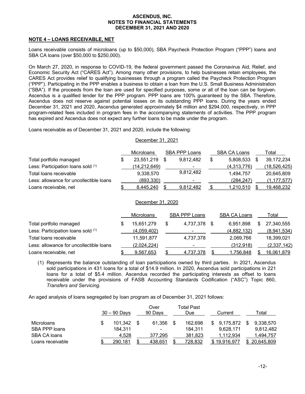#### NOTE 4 – LOANS RECEIVABLE, NET

Loans receivable consists of microloans (up to \$50,000), SBA Paycheck Protection Program ("PPP") loans and SBA CA loans (over \$50,000 to \$250,000).

On March 27, 2020, in response to COVID-19, the federal government passed the Coronavirus Aid, Relief, and Economic Security Act ("CARES Act"). Among many other provisions, to help businesses retain employees, the CARES Act provides relief to qualifying businesses through a program called the Paycheck Protection Program ("PPP"). Participating in the PPP enables a business to obtain a loan from the U.S. Small Business Administration ("SBA"). If the proceeds from the loan are used for specified purposes, some or all of the loan can be forgiven. Ascendus is a qualified lender for the PPP program. PPP loans are 100% guaranteed by the SBA. Therefore, Ascendus does not reserve against potential losses on its outstanding PPP loans. During the years ended December 31, 2021 and 2020, Ascendus generated approximately \$4 million and \$294,000, respectively, in PPP program-related fees included in program fees in the accompanying statements of activities. The PPP program has expired and Ascendus does not expect any further loans to be made under the program.

Loans receivable as of December 31, 2021 and 2020, include the following:

#### December 31, 2021

|                                         | <b>Microloans</b> | SBA PPP Loans  | <b>SBA CA Loans</b> | Total          |
|-----------------------------------------|-------------------|----------------|---------------------|----------------|
| Total portfolio managed                 | 23,551,219        | 9,812,482      | \$<br>5.808.533     | 39,172,234     |
| Less: Participation loans sold (1)      | (14,212,649)      |                | (4,313,776)         | (18, 526, 425) |
| Total loans receivable                  | 9.338.570         | 9,812,482      | 1.494.757           | 20.645.809     |
| Less: allowance for uncollectible loans | (893, 330)        | $\blacksquare$ | (284, 247)          | (1, 177, 577)  |
| Loans receivable, net                   | 8.445.240         | 9.812.482      | <u>1,210,510</u>    | 19.468.232     |

#### December 31, 2020

|                                         | <b>Microloans</b> |   | <b>SBA PPP Loans</b> | <b>SBA CA Loans</b> |    | Total       |
|-----------------------------------------|-------------------|---|----------------------|---------------------|----|-------------|
| Total portfolio managed                 | 15,651,279        | S | 4,737,378 \$         | 6.951.898           | S. | 27.340.555  |
| Less: Participation loans sold (1)      | (4,059,402)       |   | ۰.                   | (4,882,132)         |    | (8,941,534) |
| Total loans receivable                  | 11.591.877        |   | 4,737,378            | 2,069,766           |    | 18,399,021  |
| Less: allowance for uncollectible loans | (2,024,224)       |   |                      | (312, 918)          |    | (2,337,142) |
| Loans receivable, net                   | 9,567,653         |   | <u>4,737,378</u>     | 1,756,848           |    | 16,061,879  |

(1) Represents the balance outstanding of loan participations owned by third parties. In 2021, Ascendus sold participations in 431 loans for a total of \$14.9 million. In 2020, Ascendus sold participations in 221 loans for a total of \$5.4 million. Ascendus recorded the participating interests as offset to loans receivable under the provisions of FASB Accounting Standards Codification ("ASC") Topic 860, Transfers and Servicing.

An aged analysis of loans segregated by loan program as of December 31, 2021 follows:

|                   | $30 - 90$ Days | Over<br>90 Days | Total Past<br>Due | Current         | Total      |
|-------------------|----------------|-----------------|-------------------|-----------------|------------|
| <b>Microloans</b> | 101.342        | 61.356          | 162.698           | \$<br>9.175.872 | 9.338.570  |
| SBA PPP loans     | 184.311        | ۰               | 184.311           | 9.628.171       | 9.812.482  |
| SBA CA loans      | 4.528          | 377.295         | 381,823           | 1.112.934       | 1.494.757  |
| Loans receivable  | <u>290,181</u> | 438,651         | <u>728,832</u>    | \$19,916,977    | 20,645,809 |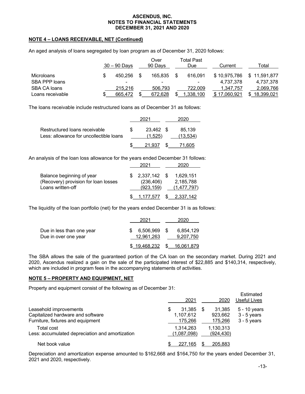### NOTE 4 – LOANS RECEIVABLE, NET (Continued)

An aged analysis of loans segregated by loan program as of December 31, 2020 follows:

|                  |   | $30 - 90$ Days | Over<br>90 Days | <b>Total Past</b><br>Due | Current      | Гоtal            |
|------------------|---|----------------|-----------------|--------------------------|--------------|------------------|
| Microloans       | S | 450.256        | 165.835         | 616.091                  | \$10,975,786 | 11.591.877<br>S. |
| SBA PPP loans    |   | ۰              | ۰               | ۰                        | 4.737.378    | 4.737.378        |
| SBA CA loans     |   | 215.216        | 506.793         | 722.009                  | 1.347.757    | 2.069.766        |
| Loans receivable | S | 665.472        | 672.628         | ,338,100                 | \$17.060.921 | 18.399.021       |

The loans receivable include restructured loans as of December 31 as follows:

|                                                                          | 2021 |                      | 2020 |                    |
|--------------------------------------------------------------------------|------|----------------------|------|--------------------|
| Restructured loans receivable<br>Less: allowance for uncollectible loans |      | 23.462 \$<br>(1.525) |      | 85.139<br>(13.534) |
|                                                                          |      | 21.937               |      | 71.605             |

An analysis of the loan loss allowance for the years ended December 31 follows:

|                                                                                        | 2021 |                                             | 2020                                  |  |
|----------------------------------------------------------------------------------------|------|---------------------------------------------|---------------------------------------|--|
| Balance beginning of year<br>(Recovery) provision for loan losses<br>Loans written-off |      | $$2,337,142$ \$<br>(236, 406)<br>(923, 159) | 1.629.151<br>2,185,788<br>(1.477.797) |  |
|                                                                                        |      | $$ 1,177,577$ $$ 2,337,142$                 |                                       |  |

The liquidity of the loan portfolio (net) for the years ended December 31 is as follows:

|                                                   | 2021                    |      | 2020                        |
|---------------------------------------------------|-------------------------|------|-----------------------------|
| Due in less than one year<br>Due in over one year | 6,506,969<br>12.961.263 | - \$ | 6,854,129<br>9.207.750      |
|                                                   |                         |      | $$19,468,232$ $$16,061,879$ |

The SBA allows the sale of the guaranteed portion of the CA loan on the secondary market. During 2021 and 2020, Ascendus realized a gain on the sale of the participated interest of \$22,885 and \$140,314, respectively, which are included in program fees in the accompanying statements of activities.

#### NOTE 5 – PROPERTY AND EQUIPMENT, NET

Property and equipment consist of the following as of December 31:

|                                                 | Estimated<br>Useful Lives<br>2021<br>2020 |
|-------------------------------------------------|-------------------------------------------|
| Leasehold improvements                          | 5 - 10 years<br>31.385<br>\$<br>31,385    |
| Capitalized hardware and software               | $3 - 5$ years<br>1,107,612<br>923,662     |
| Furniture, fixtures and equipment               | $3 - 5$ years<br>175,266<br>175,266       |
| Total cost                                      | 1,130,313<br>1.314.263                    |
| Less: accumulated depreciation and amortization | (1,087,098)<br>(924, 430)                 |
| Net book value                                  | 227.165<br>205.883<br>\$                  |

Depreciation and amortization expense amounted to \$162,668 and \$164,750 for the years ended December 31, 2021 and 2020, respectively.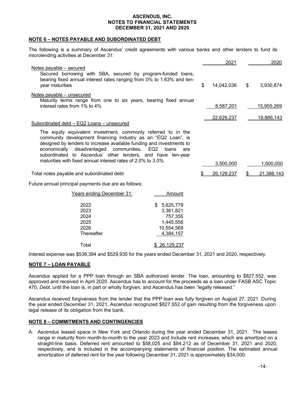#### NOTE 6 – NOTES PAYABLE AND SUBORDINATED DEBT

The following is a summary of Ascendus' credit agreements with various banks and other lenders to fund its microlending activities at December 31:

|                                                                                                                                                                                                                                                                                                                                                                                       |                                                                             | 2021             | 2020             |
|---------------------------------------------------------------------------------------------------------------------------------------------------------------------------------------------------------------------------------------------------------------------------------------------------------------------------------------------------------------------------------------|-----------------------------------------------------------------------------|------------------|------------------|
| Notes payable – secured<br>Secured borrowing with SBA, secured by program-funded loans,<br>bearing fixed annual interest rates ranging from 0% to 1.63% and ten-<br>year maturities                                                                                                                                                                                                   |                                                                             | \$<br>14,042,036 | \$<br>3,930,874  |
| Notes payable - unsecured<br>Maturity terms range from one to six years, bearing fixed annual<br>interest rates from 1% to 4%                                                                                                                                                                                                                                                         |                                                                             | 8,587,201        | 15,955,269       |
|                                                                                                                                                                                                                                                                                                                                                                                       |                                                                             |                  |                  |
| Subordinated debt - EQ2 Loans - unsecured                                                                                                                                                                                                                                                                                                                                             |                                                                             | 22,629,237       | 19,886,143       |
| The equity equivalent investment, commonly referred to in the<br>community development financing industry as an "EQ2 Loan", is<br>designed by lenders to increase available funding and investments to<br>economically disadvantaged<br>communities. EQ2<br>subordinated to Ascendus' other lenders, and have ten-year<br>maturities with fixed annual interest rates of 2.0% to 3.0% | loans<br>are                                                                | 3,500,000        | 1,500,000        |
| Total notes payable and subordinated debt                                                                                                                                                                                                                                                                                                                                             |                                                                             | 26,129,237       | \$<br>21,386,143 |
|                                                                                                                                                                                                                                                                                                                                                                                       |                                                                             |                  |                  |
| Future annual principal payments due are as follows:                                                                                                                                                                                                                                                                                                                                  |                                                                             |                  |                  |
| Years ending December 31:                                                                                                                                                                                                                                                                                                                                                             | Amount                                                                      |                  |                  |
| 2022<br>2023<br>2024<br>2025<br>2026<br>Thereafter                                                                                                                                                                                                                                                                                                                                    | \$5,625,779<br>3,361,821<br>757,355<br>1,445,556<br>10,554,569<br>4,384,157 |                  |                  |
| Total                                                                                                                                                                                                                                                                                                                                                                                 | \$26,129,237                                                                |                  |                  |

Interest expense was \$538,394 and \$529,935 for the years ended December 31, 2021 and 2020, respectively.

## NOTE 7 – LOAN PAYABLE

Ascendus applied for a PPP loan through an SBA authorized lender. The loan, amounting to \$827,552, was approved and received in April 2020. Ascendus has to account for the proceeds as a loan under FASB ASC Topic 470, Debt, until the loan is, in part or wholly forgiven, and Ascendus has been "legally released."

Ascendus received forgiveness from the lender that the PPP loan was fully forgiven on August 27, 2021. During the year ended December 31, 2021, Ascendus recognized \$827,552 of gain resulting from the forgiveness upon legal release of its obligation from the bank.

## NOTE 8 – COMMITMENTS AND CONTINGENCIES

A. Ascendus leased space in New York and Orlando during the year ended December 31, 2021. The leases range in maturity from month-to-month to the year 2023 and include rent increases, which are amortized on a straight-line basis. Deferred rent amounted to \$58,025 and \$84,212 as of December 31, 2021 and 2020, respectively, and is included in the accompanying statements of financial position. The estimated annual amortization of deferred rent for the year following December 31, 2021 is approximately \$34,000.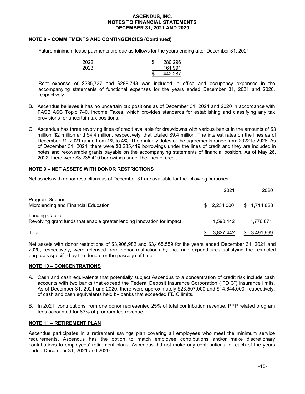#### NOTE 8 – COMMITMENTS AND CONTINGENCIES (Continued)

Future minimum lease payments are due as follows for the years ending after December 31, 2021:

| 2022 | ጦ<br>Œ | 280,296 |
|------|--------|---------|
| 2023 |        | 161.991 |
|      | Φ      | 442,287 |

Rent expense of \$235,737 and \$288,743 was included in office and occupancy expenses in the accompanying statements of functional expenses for the years ended December 31, 2021 and 2020, respectively.

- B. Ascendus believes it has no uncertain tax positions as of December 31, 2021 and 2020 in accordance with FASB ASC Topic 740, Income Taxes, which provides standards for establishing and classifying any tax provisions for uncertain tax positions.
- C. Ascendus has three revolving lines of credit available for drawdowns with various banks in the amounts of \$3 million, \$2 million and \$4.4 million, respectively, that totaled \$9.4 million. The interest rates on the lines as of December 31, 2021 range from 1% to 4%. The maturity dates of the agreements range from 2022 to 2026. As of December 31, 2021, there were \$3,235,419 borrowings under the lines of credit and they are included in notes and recoverable grants payable on the accompanying statements of financial position. As of May 26, 2022, there were \$3,235,419 borrowings under the lines of credit.

### NOTE 9 – NET ASSETS WITH DONOR RESTRICTIONS

Net assets with donor restrictions as of December 31 are available for the following purposes:

|                                                                                             | 2021        | 2020         |
|---------------------------------------------------------------------------------------------|-------------|--------------|
| Program Support:<br>Microlending and Financial Education                                    | \$2.234.000 | \$1,714,828  |
| Lending Capital:<br>Revolving grant funds that enable greater lending innovation for impact | 1.593.442   | 1,776,871    |
| Total                                                                                       | 3,827,442   | \$ 3,491,699 |

Net assets with donor restrictions of \$3,906,982 and \$3,465,559 for the years ended December 31, 2021 and 2020, respectively, were released from donor restrictions by incurring expenditures satisfying the restricted purposes specified by the donors or the passage of time.

#### NOTE 10 – CONCENTRATIONS

- A. Cash and cash equivalents that potentially subject Ascendus to a concentration of credit risk include cash accounts with two banks that exceed the Federal Deposit Insurance Corporation ("FDIC") insurance limits. As of December 31, 2021 and 2020, there were approximately \$23,507,000 and \$14,644,000, respectively, of cash and cash equivalents held by banks that exceeded FDIC limits.
- B. In 2021, contributions from one donor represented 25% of total contribution revenue. PPP related program fees accounted for 83% of program fee revenue.

#### NOTE 11 – RETIREMENT PLAN

Ascendus participates in a retirement savings plan covering all employees who meet the minimum service requirements. Ascendus has the option to match employee contributions and/or make discretionary contributions to employees' retirement plans. Ascendus did not make any contributions for each of the years ended December 31, 2021 and 2020.